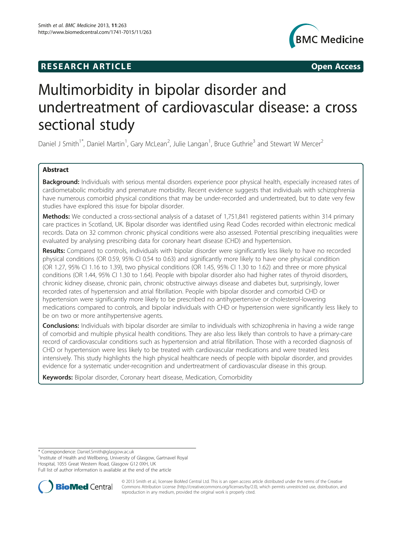# **RESEARCH ARTICLE Example 2014 The SEAR CH ACCESS**



# Multimorbidity in bipolar disorder and undertreatment of cardiovascular disease: a cross sectional study

Daniel J Smith<sup>1\*</sup>, Daniel Martin<sup>1</sup>, Gary McLean<sup>2</sup>, Julie Langan<sup>1</sup>, Bruce Guthrie<sup>3</sup> and Stewart W Mercer<sup>2</sup>

# Abstract

Background: Individuals with serious mental disorders experience poor physical health, especially increased rates of cardiometabolic morbidity and premature morbidity. Recent evidence suggests that individuals with schizophrenia have numerous comorbid physical conditions that may be under-recorded and undertreated, but to date very few studies have explored this issue for bipolar disorder.

Methods: We conducted a cross-sectional analysis of a dataset of 1,751,841 registered patients within 314 primary care practices in Scotland, UK. Bipolar disorder was identified using Read Codes recorded within electronic medical records. Data on 32 common chronic physical conditions were also assessed. Potential prescribing inequalities were evaluated by analysing prescribing data for coronary heart disease (CHD) and hypertension.

Results: Compared to controls, individuals with bipolar disorder were significantly less likely to have no recorded physical conditions (OR 0.59, 95% CI 0.54 to 0.63) and significantly more likely to have one physical condition (OR 1.27, 95% CI 1.16 to 1.39), two physical conditions (OR 1.45, 95% CI 1.30 to 1.62) and three or more physical conditions (OR 1.44, 95% CI 1.30 to 1.64). People with bipolar disorder also had higher rates of thyroid disorders, chronic kidney disease, chronic pain, chronic obstructive airways disease and diabetes but, surprisingly, lower recorded rates of hypertension and atrial fibrillation. People with bipolar disorder and comorbid CHD or hypertension were significantly more likely to be prescribed no antihypertensive or cholesterol-lowering medications compared to controls, and bipolar individuals with CHD or hypertension were significantly less likely to be on two or more antihypertensive agents.

Conclusions: Individuals with bipolar disorder are similar to individuals with schizophrenia in having a wide range of comorbid and multiple physical health conditions. They are also less likely than controls to have a primary-care record of cardiovascular conditions such as hypertension and atrial fibrillation. Those with a recorded diagnosis of CHD or hypertension were less likely to be treated with cardiovascular medications and were treated less intensively. This study highlights the high physical healthcare needs of people with bipolar disorder, and provides evidence for a systematic under-recognition and undertreatment of cardiovascular disease in this group.

Keywords: Bipolar disorder, Coronary heart disease, Medication, Comorbidity

<sup>1</sup>Institute of Health and Wellbeing, University of Glasgow, Gartnavel Royal Hospital, 1055 Great Western Road, Glasgow G12 0XH, UK

Full list of author information is available at the end of the article



© 2013 Smith et al.; licensee BioMed Central Ltd. This is an open access article distributed under the terms of the Creative Commons Attribution License [\(http://creativecommons.org/licenses/by/2.0\)](http://creativecommons.org/licenses/by/2.0), which permits unrestricted use, distribution, and reproduction in any medium, provided the original work is properly cited.

<sup>\*</sup> Correspondence: [Daniel.Smith@glasgow.ac.uk](mailto:Daniel.Smith@glasgow.ac.uk) <sup>1</sup>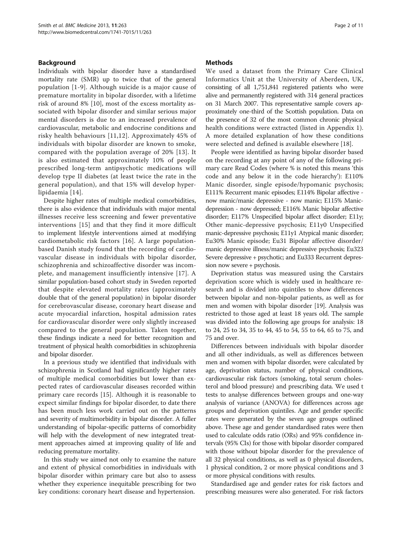### Background

Individuals with bipolar disorder have a standardised mortality rate (SMR) up to twice that of the general population [[1-](#page-9-0)[9\]](#page-10-0). Although suicide is a major cause of premature mortality in bipolar disorder, with a lifetime risk of around 8% [[10\]](#page-10-0), most of the excess mortality associated with bipolar disorder and similar serious major mental disorders is due to an increased prevalence of cardiovascular, metabolic and endocrine conditions and risky health behaviours [[11](#page-10-0),[12\]](#page-10-0). Approximately 45% of individuals with bipolar disorder are known to smoke, compared with the population average of 20% [\[13\]](#page-10-0). It is also estimated that approximately 10% of people prescribed long-term antipsychotic medications will develop type II diabetes (at least twice the rate in the general population), and that 15% will develop hyperlipidaemia [[14](#page-10-0)].

Despite higher rates of multiple medical comorbidities, there is also evidence that individuals with major mental illnesses receive less screening and fewer preventative interventions [\[15\]](#page-10-0) and that they find it more difficult to implement lifestyle interventions aimed at modifying cardiometabolic risk factors [[16](#page-10-0)]. A large populationbased Danish study found that the recording of cardiovascular disease in individuals with bipolar disorder, schizophrenia and schizoaffective disorder was incomplete, and management insufficiently intensive [[17](#page-10-0)]. A similar population-based cohort study in Sweden reported that despite elevated mortality rates (approximately double that of the general population) in bipolar disorder for cerebrovascular disease, coronary heart disease and acute myocardial infarction, hospital admission rates for cardiovascular disorder were only slightly increased compared to the general population. Taken together, these findings indicate a need for better recognition and treatment of physical health comorbidities in schizophrenia and bipolar disorder.

In a previous study we identified that individuals with schizophrenia in Scotland had significantly higher rates of multiple medical comorbidities but lower than expected rates of cardiovascular diseases recorded within primary care records [\[15](#page-10-0)]. Although it is reasonable to expect similar findings for bipolar disorder, to date there has been much less work carried out on the patterns and severity of multimorbidity in bipolar disorder. A fuller understanding of bipolar-specific patterns of comorbidity will help with the development of new integrated treatment approaches aimed at improving quality of life and reducing premature mortality.

In this study we aimed not only to examine the nature and extent of physical comorbidities in individuals with bipolar disorder within primary care but also to assess whether they experience inequitable prescribing for two key conditions: coronary heart disease and hypertension.

### **Methods**

We used a dataset from the Primary Care Clinical Informatics Unit at the University of Aberdeen, UK, consisting of all 1,751,841 registered patients who were alive and permanently registered with 314 general practices on 31 March 2007. This representative sample covers approximately one-third of the Scottish population. Data on the presence of 32 of the most common chronic physical health conditions were extracted (listed in [Appendix 1](#page-9-0)). A more detailed explanation of how these conditions were selected and defined is available elsewhere [[18](#page-10-0)].

People were identified as having bipolar disorder based on the recording at any point of any of the following primary care Read Codes (where % is noted this means 'this code and any below it in the code hierarchy'): E110% Manic disorder, single episode/hypomanic psychosis; E111% Recurrent manic episodes; E114% Bipolar affective now manic/manic depressive - now manic; E115% Manicdepression - now depressed; E116% Manic bipolar affective disorder; E117% Unspecified bipolar affect disorder; E11y; Other manic-depressive psychosis; E11y0 Unspecified manic-depressive psychosis; E11y1 Atypical manic disorder; Eu30% Manic episode; Eu31 Bipolar affective disorder/ manic depressive illness/manic depressive psychosis; Eu323 Severe depressive + psychotic; and Eu333 Recurrent depression now severe + psychosis.

Deprivation status was measured using the Carstairs deprivation score which is widely used in healthcare research and is divided into quintiles to show differences between bipolar and non-bipolar patients, as well as for men and women with bipolar disorder [[19](#page-10-0)]. Analysis was restricted to those aged at least 18 years old. The sample was divided into the following age groups for analysis: 18 to 24, 25 to 34, 35 to 44, 45 to 54, 55 to 64, 65 to 75, and 75 and over.

Differences between individuals with bipolar disorder and all other individuals, as well as differences between men and women with bipolar disorder, were calculated by age, deprivation status, number of physical conditions, cardiovascular risk factors (smoking, total serum cholesterol and blood pressure) and prescribing data. We used t tests to analyse differences between groups and one-way analysis of variance (ANOVA) for differences across age groups and deprivation quintiles. Age and gender specific rates were generated by the seven age groups outlined above. These age and gender standardised rates were then used to calculate odds ratio (ORs) and 95% confidence intervals (95% CIs) for those with bipolar disorder compared with those without bipolar disorder for the prevalence of all 32 physical conditions, as well as 0 physical disorders, 1 physical condition, 2 or more physical conditions and 3 or more physical conditions with results.

Standardised age and gender rates for risk factors and prescribing measures were also generated. For risk factors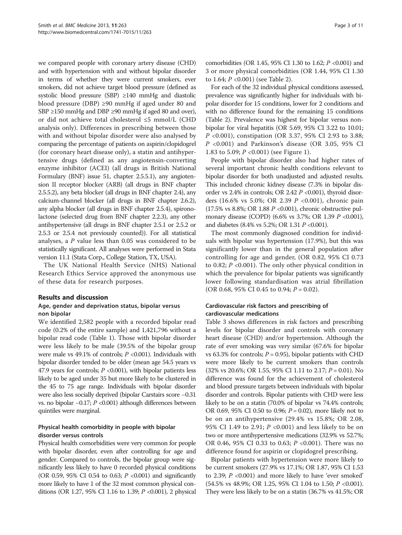we compared people with coronary artery disease (CHD) and with hypertension with and without bipolar disorder in terms of whether they were current smokers, ever smokers, did not achieve target blood pressure (defined as systolic blood pressure (SBP) ≥140 mmHg and diastolic blood pressure (DBP) ≥90 mmHg if aged under 80 and SBP  $\geq$ 150 mmHg and DBP  $\geq$ 90 mmHg if aged 80 and over), or did not achieve total cholesterol ≤5 mmol/L (CHD analysis only). Differences in prescribing between those with and without bipolar disorder were also analysed by comparing the percentage of patients on aspirin/clopidogrel (for coronary heart disease only), a statin and antihypertensive drugs (defined as any angiotensin-converting enzyme inhibitor (ACEI) (all drugs in British National Formulary (BNF) issue 51, chapter 2.5.5.1), any angiotension II receptor blocker (ARB) (all drugs in BNF chapter 2.5.5.2), any beta blocker (all drugs in BNF chapter 2.4), any calcium-channel blocker (all drugs in BNF chapter 2.6.2), any alpha blocker (all drugs in BNF chapter 2.5.4), spironolactone (selected drug from BNF chapter 2.2.3), any other antihypertensive (all drugs in BNF chapter 2.5.1 or 2.5.2 or 2.5.3 or 2.5.4 not previously counted)). For all statistical analyses, a P value less than 0.05 was considered to be statistically significant. All analyses were performed in Stata version 11.1 (Stata Corp., College Station, TX, USA).

The UK National Health Service (NHS) National Research Ethics Service approved the anonymous use of these data for research purposes.

# Results and discussion

# Age, gender and deprivation status, bipolar versus non bipolar

We identified 2,582 people with a recorded bipolar read code (0.2% of the entire sample) and 1,421,796 without a bipolar read code (Table [1](#page-3-0)). Those with bipolar disorder were less likely to be male (39.5% of the bipolar group were male vs 49.1% of controls;  $P \le 0.001$ ). Individuals with bipolar disorder tended to be older (mean age 54.5 years vs 47.9 years for controls;  $P \text{ < } 0.001$ ), with bipolar patients less likely to be aged under 35 but more likely to be clustered in the 45 to 75 age range. Individuals with bipolar disorder were also less socially deprived (bipolar Carstairs score −0.31 vs. no bipolar −0.17; P <0.001) although differences between quintiles were marginal.

# Physical health comorbidity in people with bipolar disorder versus controls

Physical health comorbidities were very common for people with bipolar disorder, even after controlling for age and gender. Compared to controls, the bipolar group were significantly less likely to have 0 recorded physical conditions (OR 0.59, 95% CI 0.54 to 0.63;  $P$  <0.001) and significantly more likely to have 1 of the 32 most common physical conditions (OR 1.27, 95% CI 1.16 to 1.39;  $P \le 0.001$ ), 2 physical

comorbidities (OR 1.45, 95% CI 1.30 to 1.62; P <0.001) and 3 or more physical comorbidities (OR 1.44, 95% CI 1.30 to 1.64; P <0.001) (see Table [2](#page-4-0)).

For each of the 32 individual physical conditions assessed, prevalence was significantly higher for individuals with bipolar disorder for 15 conditions, lower for 2 conditions and with no difference found for the remaining 15 conditions (Table [2](#page-4-0)). Prevalence was highest for bipolar versus nonbipolar for viral hepatitis (OR 5.69, 95% CI 3.22 to 10.01; P <0.001), constipation (OR 3.37, 95% CI 2.93 to 3.88; P <0.001) and Parkinson's disease (OR 3.05, 95% CI 1.83 to 5.09; P <0.001) (see Figure [1](#page-5-0)).

People with bipolar disorder also had higher rates of several important chronic health conditions relevant to bipolar disorder for both unadjusted and adjusted results. This included chronic kidney disease (7.3% in bipolar disorder vs 2.4% in controls; OR 2.42  $P$  <0.001), thyroid disorders (16.6% vs 5.0%; OR 2.39 P <0.001), chronic pain (17.5% vs 8.8%; OR 1.88  $P$  <0.001), chronic obstructive pulmonary disease (COPD) (6.6% vs 3.7%; OR 1.39 P < 0.001), and diabetes (8.4% vs 5.2%; OR 1.31 P <0.001).

The most commonly diagnosed condition for individuals with bipolar was hypertension (17.9%), but this was significantly lower than in the general population after controlling for age and gender, (OR 0.82, 95% CI 0.73 to 0.82;  $P \le 0.001$ ). The only other physical condition in which the prevalence for bipolar patients was significantly lower following standardisation was atrial fibrillation (OR 0.68, 95% CI 0.45 to 0.94;  $P = 0.02$ ).

# Cardiovascular risk factors and prescribing of cardiovascular medications

Table [3](#page-6-0) shows differences in risk factors and prescribing levels for bipolar disorder and controls with coronary heart disease (CHD) and/or hypertension. Although the rate of ever smoking was very similar (67.6% for bipolar vs 63.3% for controls;  $P = 0.95$ ), bipolar patients with CHD were more likely to be current smokers than controls (32% vs 20.6%; OR 1.55, 95% CI 1.11 to 2.17; P = 0.01). No difference was found for the achievement of cholesterol and blood pressure targets between individuals with bipolar disorder and controls. Bipolar patients with CHD were less likely to be on a statin (70.0% of bipolar vs 74.4% controls; OR 0.69, 95% CI 0.50 to 0.96;  $P = 0.02$ ), more likely not to be on an antihypertensive (29.4% vs 15.8%; OR 2.08, 95% CI 1.49 to 2.91; P <0.001) and less likely to be on two or more antihypertensive medications (32.9% vs 52.7%; OR 0.46, 95% CI 0.33 to 0.63; P <0.001). There was no difference found for aspirin or clopidogrel prescribing.

Bipolar patients with hypertension were more likely to be current smokers (27.9% vs 17.1%; OR 1.87, 95% CI 1.53 to 2.39;  $P \leq 0.001$ ) and more likely to have 'ever smoked' (54.5% vs 48.9%; OR 1.25, 95% CI 1.04 to 1.50; P <0.001). They were less likely to be on a statin (36.7% vs 41.5%; OR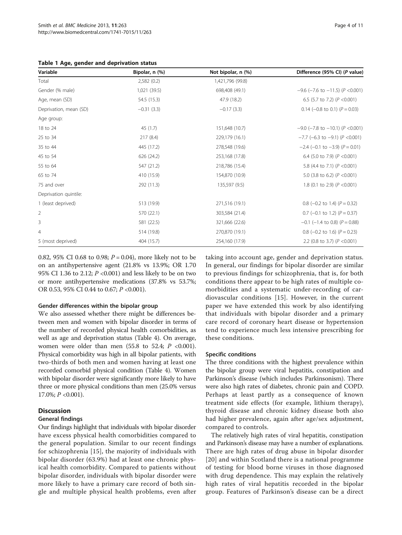<span id="page-3-0"></span>Table 1 Age, gender and deprivation status

| Variable               | Bipolar, n (%) | Not bipolar, n (%) | Difference (95% CI) (P value)           |
|------------------------|----------------|--------------------|-----------------------------------------|
| Total                  | 2,582 (0.2)    | 1,421,796 (99.8)   |                                         |
| Gender (% male)        | 1,021 (39.5)   | 698,408 (49.1)     | $-9.6$ (-7.6 to -11.5) (P <0.001)       |
| Age, mean (SD)         | 54.5 (15.3)    | 47.9 (18.2)        | 6.5 (5.7 to 7.2) ( $P < 0.001$ )        |
| Deprivation, mean (SD) | $-0.31(3.3)$   | $-0.17(3.3)$       | 0.14 (-0.8 to 0.1) ( $P = 0.03$ )       |
| Age group:             |                |                    |                                         |
| 18 to 24               | 45 (1.7)       | 151,648 (10.7)     | $-9.0$ (-7.8 to -10.1) (P <0.001)       |
| 25 to 34               | 217(8.4)       | 229,179 (16.1)     | $-7.7$ (-6.3 to -9.1) (P < 0.001)       |
| 35 to 44               | 445 (17.2)     | 278,548 (19.6)     | $-2.4$ (-0.1 to $-3.9$ ) ( $P = 0.01$ ) |
| 45 to 54               | 626 (24.2)     | 253,168 (17.8)     | 6.4 (5.0 to 7.9) ( $P < 0.001$ )        |
| 55 to 64               | 547 (21.2)     | 218,786 (15.4)     | 5.8 (4.4 to 7.1) ( $P < 0.001$ )        |
| 65 to 74               | 410 (15.9)     | 154,870 (10.9)     | 5.0 (3.8 to 6.2) ( $P < 0.001$ )        |
| 75 and over            | 292 (11.3)     | 135,597 (9.5)      | 1.8 (0.1 to 2.9) ( $P < 0.001$ )        |
| Deprivation quintile:  |                |                    |                                         |
| 1 (least deprived)     | 513 (19.9)     | 271,516 (19.1)     | 0.8 (-0.2 to 1.4) ( $P = 0.32$ )        |
| $\overline{2}$         | 570 (22.1)     | 303,584 (21.4)     | 0.7 (-0.1 to 1.2) ( $P = 0.37$ )        |
| 3                      | 581 (22.5)     | 321,666 (22.6)     | $-0.1$ (-1.4 to 0.8) (P = 0.88)         |
| 4                      | 514 (19.8)     | 270,870 (19.1)     | 0.8 (-0.2 to 1.6) ( $P = 0.23$ )        |
| 5 (most deprived)      | 404 (15.7)     | 254,160 (17.9)     | 2.2 (0.8 to 3.7) ( $P < 0.001$ )        |

0.82, 95% CI 0.68 to 0.98;  $P = 0.04$ ), more likely not to be on an antihypertensive agent (21.8% vs 13.9%; OR 1.70 95% CI 1.36 to 2.12;  $P \le 0.001$ ) and less likely to be on two or more antihypertensive medications (37.8% vs 53.7%; OR 0.53, 95% CI 0.44 to 0.67; P < 0.001).

### Gender differences within the bipolar group

We also assessed whether there might be differences between men and women with bipolar disorder in terms of the number of recorded physical health comorbidities, as well as age and deprivation status (Table [4](#page-7-0)). On average, women were older than men  $(55.8 \text{ to } 52.4; P \lt 0.001)$ . Physical comorbidity was high in all bipolar patients, with two-thirds of both men and women having at least one recorded comorbid physical condition (Table [4](#page-7-0)). Women with bipolar disorder were significantly more likely to have three or more physical conditions than men (25.0% versus 17.0%;  $P < 0.001$ ).

# **Discussion**

# General findings

Our findings highlight that individuals with bipolar disorder have excess physical health comorbidities compared to the general population. Similar to our recent findings for schizophrenia [\[15\]](#page-10-0), the majority of individuals with bipolar disorder (63.9%) had at least one chronic physical health comorbidity. Compared to patients without bipolar disorder, individuals with bipolar disorder were more likely to have a primary care record of both single and multiple physical health problems, even after

taking into account age, gender and deprivation status. In general, our findings for bipolar disorder are similar to previous findings for schizophrenia, that is, for both conditions there appear to be high rates of multiple comorbidities and a systematic under-recording of cardiovascular conditions [[15\]](#page-10-0). However, in the current paper we have extended this work by also identifying that individuals with bipolar disorder and a primary care record of coronary heart disease or hypertension tend to experience much less intensive prescribing for these conditions.

# Specific conditions

The three conditions with the highest prevalence within the bipolar group were viral hepatitis, constipation and Parkinson's disease (which includes Parkinsonism). There were also high rates of diabetes, chronic pain and COPD. Perhaps at least partly as a consequence of known treatment side effects (for example, lithium therapy), thyroid disease and chronic kidney disease both also had higher prevalence, again after age/sex adjustment, compared to controls.

The relatively high rates of viral hepatitis, constipation and Parkinson's disease may have a number of explanations. There are high rates of drug abuse in bipolar disorder [[20](#page-10-0)] and within Scotland there is a national programme of testing for blood borne viruses in those diagnosed with drug dependence. This may explain the relatively high rates of viral hepatitis recorded in the bipolar group. Features of Parkinson's disease can be a direct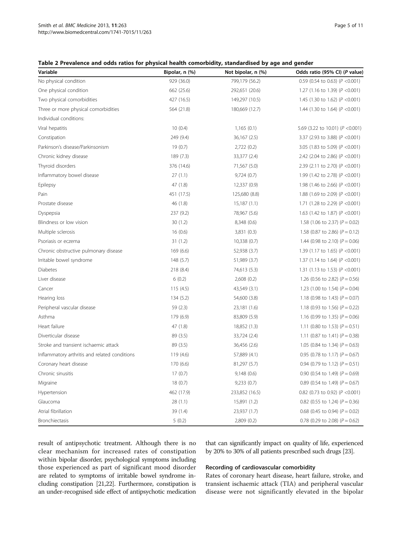### <span id="page-4-0"></span>Table 2 Prevalence and odds ratios for physical health comorbidity, standardised by age and gender

| Variable                                      | Bipolar, n (%) | Not bipolar, n (%) | Odds ratio (95% CI) (P value)        |
|-----------------------------------------------|----------------|--------------------|--------------------------------------|
| No physical condition                         | 929 (36.0)     | 799,179 (56.2)     | 0.59 (0.54 to 0.63) ( $P < 0.001$ )  |
| One physical condition                        | 662 (25.6)     | 292,651 (20.6)     | 1.27 (1.16 to 1.39) ( $P < 0.001$ )  |
| Two physical comorbidities                    | 427 (16.5)     | 149,297 (10.5)     | 1.45 (1.30 to 1.62) ( $P < 0.001$ )  |
| Three or more physical comorbidities          | 564 (21.8)     | 180,669 (12.7)     | 1.44 (1.30 to 1.64) ( $P < 0.001$ )  |
| Individual conditions:                        |                |                    |                                      |
| Viral hepatitis                               | 10(0.4)        | 1,165(0.1)         | 5.69 (3.22 to 10.01) ( $P < 0.001$ ) |
| Constipation                                  | 249 (9.4)      | 36,167 (2.5)       | 3.37 (2.93 to 3.88) (P < 0.001)      |
| Parkinson's disease/Parkinsonism              | 19(0.7)        | 2,722 (0.2)        | 3.05 (1.83 to 5.09) ( $P < 0.001$ )  |
| Chronic kidney disease                        | 189 (7.3)      | 33,377 (2.4)       | 2.42 (2.04 to 2.86) ( $P < 0.001$ )  |
| Thyroid disorders                             | 376 (14.6)     | 71,567 (5.0)       | 2.39 (2.11 to 2.70) ( $P < 0.001$ )  |
| Inflammatory bowel disease                    | 27(1.1)        | 9,724(0.7)         | 1.99 (1.42 to 2.78) ( $P < 0.001$ )  |
| Epilepsy                                      | 47 (1.8)       | 12,337 (0.9)       | 1.98 (1.46 to 2.66) ( $P < 0.001$ )  |
| Pain                                          | 451 (17.5)     | 125,680 (8.8)      | 1.88 (1.69 to 2.09) ( $P < 0.001$ )  |
| Prostate disease                              | 46 (1.8)       | 15,187(1.1)        | 1.71 (1.28 to 2.29) ( $P < 0.001$ )  |
| Dyspepsia                                     | 237 (9.2)      | 78,967 (5.6)       | 1.63 (1.42 to 1.87) ( $P < 0.001$ )  |
| Blindness or low vision                       | 30(1.2)        | 8,348 (0.6)        | 1.58 (1.06 to 2.37) ( $P = 0.02$ )   |
| Multiple sclerosis                            | 16(0.6)        | 3,831 (0.3)        | 1.58 (0.87 to 2.86) ( $P = 0.12$ )   |
| Psoriasis or eczema                           | 31(1.2)        | 10,338 (0.7)       | 1.44 (0.98 to 2.10) ( $P = 0.06$ )   |
| Chronic obstructive pulmonary disease         | 169(6.6)       | 52,938 (3.7)       | 1.39 (1.17 to 1.65) ( $P < 0.001$ )  |
| Irritable bowel syndrome                      | 148(5.7)       | 51,989 (3.7)       | 1.37 (1.14 to 1.64) ( $P < 0.001$ )  |
| Diabetes                                      | 218 (8.4)      | 74,613 (5.3)       | 1.31 (1.13 to 1.53) ( $P < 0.001$ )  |
| Liver disease                                 | 6(0.2)         | 2,608(0.2)         | 1.26 (0.56 to 2.82) ( $P = 0.56$ )   |
| Cancer                                        | 115(4.5)       | 43,549 (3.1)       | 1.23 (1.00 to 1.54) ( $P = 0.04$ )   |
| Hearing loss                                  | 134 (5.2)      | 54,600 (3.8)       | 1.18 (0.98 to 1.43) ( $P = 0.07$ )   |
| Peripheral vascular disease                   | 59 (2.3)       | 23,181 (1.6)       | 1.18 (0.93 to 1.56) ( $P = 0.22$ )   |
| Asthma                                        | 179 (6.9)      | 83,809 (5.9)       | 1.16 (0.99 to 1.35) ( $P = 0.06$ )   |
| Heart failure                                 | 47 (1.8)       | 18,852 (1.3)       | 1.11 (0.80 to 1.53) ( $P = 0.51$ )   |
| Diverticular disease                          | 89 (3.5)       | 33,724 (2.4)       | 1.11 (0.87 to 1.41) ( $P = 0.38$ )   |
| Stroke and transient ischaemic attack         | 89 (3.5)       | 36,456 (2.6)       | 1.05 (0.84 to 1.34) ( $P = 0.63$ )   |
| Inflammatory arthritis and related conditions | 119 (4.6)      | 57,889 (4.1)       | 0.95 (0.78 to 1.17) ( $P = 0.67$ )   |
| Coronary heart disease                        | 170 (6.6)      | 81,297 (5.7)       | 0.94 (0.79 to 1.12) ( $P = 0.51$ )   |
| Chronic sinusitis                             | 17(0.7)        | 9,148(0.6)         | 0.90 (0.54 to 1.49) ( $P = 0.69$ )   |
| Migraine                                      | 18(0.7)        | 9,233(0.7)         | 0.89 (0.54 to 1.49) ( $P = 0.67$ )   |
| Hypertension                                  | 462 (17.9)     | 233,852 (16.5)     | 0.82 (0.73 to 0.92) ( $P < 0.001$ )  |
| Glaucoma                                      | 28(1.1)        | 15,891 (1.2)       | 0.82 (0.55 to 1.24) ( $P = 0.36$ )   |
| Atrial fibrillation                           | 39 (1.4)       | 23,937 (1.7)       | 0.68 (0.45 to 0.94) ( $P = 0.02$ )   |
| <b>Bronchiectasis</b>                         | 5(0.2)         | 2,809 (0.2)        | 0.78 (0.29 to 2.08) ( $P = 0.62$ )   |

result of antipsychotic treatment. Although there is no clear mechanism for increased rates of constipation within bipolar disorder, psychological symptoms including those experienced as part of significant mood disorder are related to symptoms of irritable bowel syndrome including constipation [\[21,22](#page-10-0)]. Furthermore, constipation is an under-recognised side effect of antipsychotic medication

that can significantly impact on quality of life, experienced by 20% to 30% of all patients prescribed such drugs [\[23](#page-10-0)].

# Recording of cardiovascular comorbidity

Rates of coronary heart disease, heart failure, stroke, and transient ischaemic attack (TIA) and peripheral vascular disease were not significantly elevated in the bipolar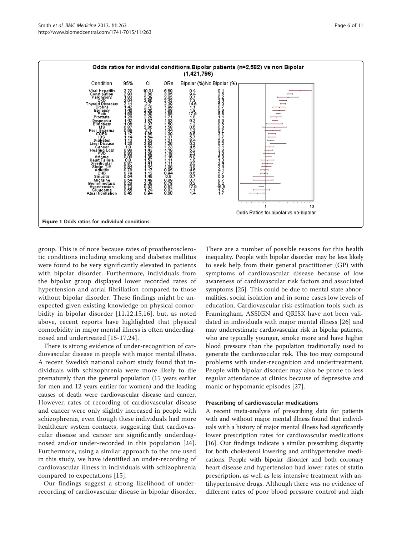<span id="page-5-0"></span>

# Odds ratios for individal conditions. Bipolar patients (n=2,582) vs non Bipolar

group. This is of note because rates of proatherosclerotic conditions including smoking and diabetes mellitus were found to be very significantly elevated in patients with bipolar disorder. Furthermore, individuals from the bipolar group displayed lower recorded rates of hypertension and atrial fibrillation compared to those without bipolar disorder. These findings might be unexpected given existing knowledge on physical comorbidity in bipolar disorder [[11,12,15,16\]](#page-10-0), but, as noted above, recent reports have highlighted that physical comorbidity in major mental illness is often underdiagnosed and undertreated [\[15-17,24](#page-10-0)].

There is strong evidence of under-recognition of cardiovascular disease in people with major mental illness. A recent Swedish national cohort study found that individuals with schizophrenia were more likely to die prematurely than the general population (15 years earlier for men and 12 years earlier for women) and the leading causes of death were cardiovascular disease and cancer. However, rates of recording of cardiovascular disease and cancer were only slightly increased in people with schizophrenia, even though these individuals had more healthcare system contacts, suggesting that cardiovascular disease and cancer are significantly underdiagnosed and/or under-recorded in this population [[24](#page-10-0)]. Furthermore, using a similar approach to the one used in this study, we have identified an under-recording of cardiovascular illness in individuals with schizophrenia compared to expectations [[15](#page-10-0)].

Our findings suggest a strong likelihood of underrecording of cardiovascular disease in bipolar disorder.

There are a number of possible reasons for this health inequality. People with bipolar disorder may be less likely to seek help from their general practitioner (GP) with symptoms of cardiovascular disease because of low awareness of cardiovascular risk factors and associated symptoms [\[25\]](#page-10-0). This could be due to mental state abnormalities, social isolation and in some cases low levels of education. Cardiovascular risk estimation tools such as Framingham, ASSIGN and QRISK have not been validated in individuals with major mental illness [[26\]](#page-10-0) and may underestimate cardiovascular risk in bipolar patients, who are typically younger, smoke more and have higher blood pressure than the population traditionally used to generate the cardiovascular risk. This too may compound problems with under-recognition and undertreatment. People with bipolar disorder may also be prone to less regular attendance at clinics because of depressive and manic or hypomanic episodes [\[27\]](#page-10-0).

### Prescribing of cardiovascular medications

A recent meta-analysis of prescribing data for patients with and without major mental illness found that individuals with a history of major mental illness had significantly lower prescription rates for cardiovascular medications [[16](#page-10-0)]. Our findings indicate a similar prescribing disparity for both cholesterol lowering and antihypertensive medications. People with bipolar disorder and both coronary heart disease and hypertension had lower rates of statin prescription, as well as less intensive treatment with antihypertensive drugs. Although there was no evidence of different rates of poor blood pressure control and high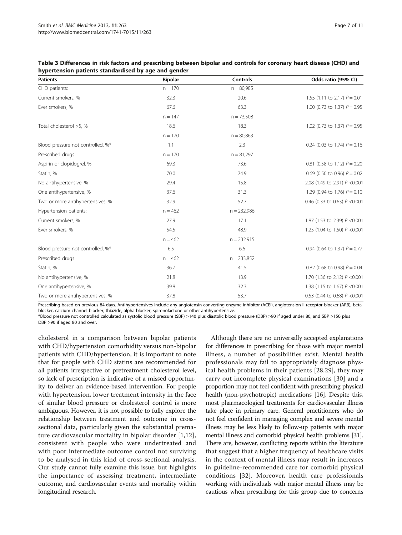| <b>Patients</b>                   | <b>Bipolar</b> | <b>Controls</b> | Odds ratio (95% CI)             |
|-----------------------------------|----------------|-----------------|---------------------------------|
| CHD patients:                     | $n = 170$      | $n = 80,985$    |                                 |
| Current smokers, %                | 32.3           | 20.6            | 1.55 (1.11 to 2.17) $P = 0.01$  |
| Ever smokers, %                   | 67.6           | 63.3            | 1.00 (0.73 to 1.37) $P = 0.95$  |
|                                   | $n = 147$      | $n = 73,508$    |                                 |
| Total cholesterol >5, %           | 18.6           | 18.3            | 1.02 (0.73 to 1.37) $P = 0.95$  |
|                                   | $n = 170$      | $n = 80,863$    |                                 |
| Blood pressure not controlled, %* | 1.1            | 2.3             | 0.24 (0.03 to 1.74) $P = 0.16$  |
| Prescribed drugs                  | $n = 170$      | $n = 81,297$    |                                 |
| Aspirin or clopidogrel, %         | 69.3           | 73.6            | 0.81 (0.58 to 1.12) $P = 0.20$  |
| Statin, %                         | 70.0           | 74.9            | 0.69 (0.50 to 0.96) $P = 0.02$  |
| No antihypertensive, %            | 29.4           | 15.8            | 2.08 (1.49 to 2.91) P < 0.001   |
| One antihypertensive, %           | 37.6           | 31.3            | 1.29 (0.94 to 1.76) $P = 0.10$  |
| Two or more antihypertensives, %  | 32.9           | 52.7            | 0.46 (0.33 to 0.63) $P < 0.001$ |
| Hypertension patients:            | $n = 462$      | $n = 232,986$   |                                 |
| Current smokers, %                | 27.9           | 17.1            | 1.87 (1.53 to 2.39) P < 0.001   |
| Ever smokers, %                   | 54.5           | 48.9            | 1.25 (1.04 to 1.50) P < 0.001   |
|                                   | $n = 462$      | $n = 232.915$   |                                 |
| Blood pressure not controlled, %* | 6.5            | 6.6             | 0.94 (0.64 to 1.37) $P = 0.77$  |
| Prescribed drugs                  | $n = 462$      | $n = 233,852$   |                                 |
| Statin, %                         | 36.7           | 41.5            | 0.82 (0.68 to 0.98) $P = 0.04$  |
| No antihypertensive, %            | 21.8           | 13.9            | 1.70 (1.36 to 2.12) P < 0.001   |
| One antihypertensive, %           | 39.8           | 32.3            | 1.38 (1.15 to 1.67) P < 0.001   |
| Two or more antihypertensives, %  | 37.8           | 53.7            | 0.53 (0.44 to 0.68) $P < 0.001$ |

<span id="page-6-0"></span>Table 3 Differences in risk factors and prescribing between bipolar and controls for coronary heart disease (CHD) and hypertension patients standardised by age and gender

Prescribing based on previous 84 days. Antihypertensives include any angiotensin-converting enzyme inhibitor (ACEI), angiotension II receptor blocker (ARB), beta blocker, calcium channel blocker, thiazide, alpha blocker, spironolactone or other antihypertensive.

\*Blood pressure not controlled calculated as systolic blood pressure (SBP) ≥140 plus diastolic blood pressure (DBP) ≥90 if aged under 80, and SBP ≥150 plus DBP ≥90 if aged 80 and over.

cholesterol in a comparison between bipolar patients with CHD/hypertension comorbidity versus non-bipolar patients with CHD/hypertension, it is important to note that for people with CHD statins are recommended for all patients irrespective of pretreatment cholesterol level, so lack of prescription is indicative of a missed opportunity to deliver an evidence-based intervention. For people with hypertension, lower treatment intensity in the face of similar blood pressure or cholesterol control is more ambiguous. However, it is not possible to fully explore the relationship between treatment and outcome in crosssectional data, particularly given the substantial premature cardiovascular mortality in bipolar disorder [\[1,](#page-9-0)[12\]](#page-10-0), consistent with people who were undertreated and with poor intermediate outcome control not surviving to be analysed in this kind of cross-sectional analysis. Our study cannot fully examine this issue, but highlights the importance of assessing treatment, intermediate outcome, and cardiovascular events and mortality within longitudinal research.

Although there are no universally accepted explanations for differences in prescribing for those with major mental illness, a number of possibilities exist. Mental health professionals may fail to appropriately diagnose physical health problems in their patients [[28,29](#page-10-0)], they may carry out incomplete physical examinations [\[30\]](#page-10-0) and a proportion may not feel confident with prescribing physical health (non-psychotropic) medications [\[16\]](#page-10-0). Despite this, most pharmacological treatments for cardiovascular illness take place in primary care. General practitioners who do not feel confident in managing complex and severe mental illness may be less likely to follow-up patients with major mental illness and comorbid physical health problems [\[31](#page-10-0)]. There are, however, conflicting reports within the literature that suggest that a higher frequency of healthcare visits in the context of mental illness may result in increases in guideline-recommended care for comorbid physical conditions [\[32\]](#page-10-0). Moreover, health care professionals working with individuals with major mental illness may be cautious when prescribing for this group due to concerns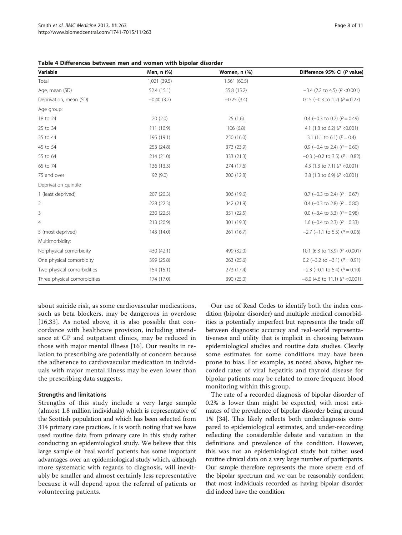<span id="page-7-0"></span>

|  |  |  | Table 4 Differences between men and women with bipolar disorder |
|--|--|--|-----------------------------------------------------------------|
|--|--|--|-----------------------------------------------------------------|

| Variable                     | Men, n (%)   | Women, n (%) | Difference 95% CI (P value)          |
|------------------------------|--------------|--------------|--------------------------------------|
| Total                        | 1,021 (39.5) | 1,561 (60.5) |                                      |
| Age, mean (SD)               | 52.4 (15.1)  | 55.8 (15.2)  | $-3.4$ (2.2 to 4.5) ( $P < 0.001$ )  |
| Deprivation, mean (SD)       | $-0.40(3.2)$ | $-0.25(3.4)$ | 0.15 (-0.3 to 1.2) ( $P = 0.27$ )    |
| Age group:                   |              |              |                                      |
| 18 to 24                     | 20(2.0)      | 25(1.6)      | 0.4 (-0.3 to 0.7) ( $P = 0.49$ )     |
| 25 to 34                     | 111 (10.9)   | 106(6.8)     | 4.1 (1.8 to 6.2) ( $P < 0.001$ )     |
| 35 to 44                     | 195 (19.1)   | 250 (16.0)   | 3.1 (1.1 to 6.1) $(P = 0.4)$         |
| 45 to 54                     | 253 (24.8)   | 373 (23.9)   | 0.9 (-0.4 to 2.4) ( $P = 0.60$ )     |
| 55 to 64                     | 214 (21.0)   | 333 (21.3)   | $-0.3$ (-0.2 to 3.5) ( $P = 0.82$ )  |
| 65 to 74                     | 136 (13.3)   | 274 (17.6)   | 4.3 (1.3 to 7.1) ( $P < 0.001$ )     |
| 75 and over                  | 92 (9.0)     | 200 (12.8)   | 3.8 (1.3 to 6.9) ( $P < 0.001$ )     |
| Deprivation quintile         |              |              |                                      |
| 1 (least deprived)           | 207 (20.3)   | 306 (19.6)   | 0.7 (-0.3 to 2.4) ( $P = 0.67$ )     |
| $\overline{2}$               | 228 (22.3)   | 342 (21.9)   | 0.4 (-0.3 to 2.8) ( $P = 0.80$ )     |
| 3                            | 230 (22.5)   | 351 (22.5)   | 0.0 (-3.4 to 3.3) ( $P = 0.98$ )     |
| 4                            | 213 (20.9)   | 301 (19.3)   | 1.6 (-0.4 to 2.3) ( $P = 0.33$ )     |
| 5 (most deprived)            | 143 (14.0)   | 261 (16.7)   | $-2.7$ (-1.1 to 5.5) ( $P = 0.06$ )  |
| Multimorbidity:              |              |              |                                      |
| No physical comorbidity      | 430 (42.1)   | 499 (32.0)   | 10.1 (6.3 to 13.9) ( $P < 0.001$ )   |
| One physical comorbidity     | 399 (25.8)   | 263 (25.6)   | 0.2 (-3.2 to $-3.1$ ) ( $P = 0.91$ ) |
| Two physical comorbidities   | 154 (15.1)   | 273 (17.4)   | $-2.3$ (-0.1 to 5.4) ( $P = 0.10$ )  |
| Three physical comorbidities | 174 (17.0)   | 390 (25.0)   | $-8.0$ (4.6 to 11.1) ( $P < 0.001$ ) |

about suicide risk, as some cardiovascular medications, such as beta blockers, may be dangerous in overdose [[16](#page-10-0),[33\]](#page-10-0). As noted above, it is also possible that concordance with healthcare provision, including attendance at GP and outpatient clinics, may be reduced in those with major mental illness [[16](#page-10-0)]. Our results in relation to prescribing are potentially of concern because the adherence to cardiovascular medication in individuals with major mental illness may be even lower than the prescribing data suggests.

### Strengths and limitations

Strengths of this study include a very large sample (almost 1.8 million individuals) which is representative of the Scottish population and which has been selected from 314 primary care practices. It is worth noting that we have used routine data from primary care in this study rather conducting an epidemiological study. We believe that this large sample of 'real world' patients has some important advantages over an epidemiological study which, although more systematic with regards to diagnosis, will inevitably be smaller and almost certainly less representative because it will depend upon the referral of patients or volunteering patients.

Our use of Read Codes to identify both the index condition (bipolar disorder) and multiple medical comorbidities is potentially imperfect but represents the trade off between diagnostic accuracy and real-world representativeness and utility that is implicit in choosing between epidemiological studies and routine data studies. Clearly some estimates for some conditions may have been prone to bias. For example, as noted above, higher recorded rates of viral hepatitis and thyroid disease for bipolar patients may be related to more frequent blood monitoring within this group.

The rate of a recorded diagnosis of bipolar disorder of 0.2% is lower than might be expected, with most estimates of the prevalence of bipolar disorder being around 1% [\[34](#page-10-0)]. This likely reflects both underdiagnosis compared to epidemiological estimates, and under-recording reflecting the considerable debate and variation in the definitions and prevalence of the condition. However, this was not an epidemiological study but rather used routine clinical data on a very large number of participants. Our sample therefore represents the more severe end of the bipolar spectrum and we can be reasonably confident that most individuals recorded as having bipolar disorder did indeed have the condition.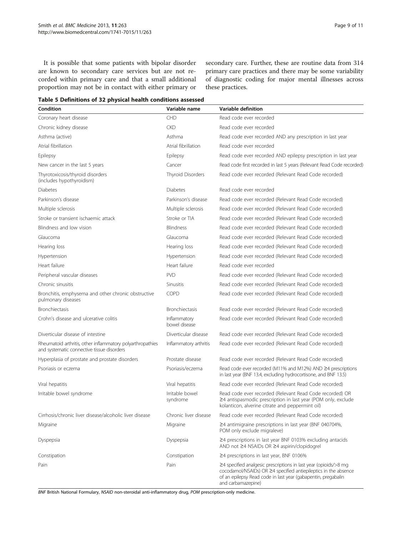<span id="page-8-0"></span>It is possible that some patients with bipolar disorder are known to secondary care services but are not recorded within primary care and that a small additional proportion may not be in contact with either primary or secondary care. Further, these are routine data from 314 primary care practices and there may be some variability of diagnostic coding for major mental illnesses across these practices.

|  |  | Table 5 Definitions of 32 physical health conditions assessed |  |
|--|--|---------------------------------------------------------------|--|

| Condition                                                                                                | Variable name                 | <b>Variable definition</b>                                                                                                                                                                                                          |
|----------------------------------------------------------------------------------------------------------|-------------------------------|-------------------------------------------------------------------------------------------------------------------------------------------------------------------------------------------------------------------------------------|
| Coronary heart disease                                                                                   | <b>CHD</b>                    | Read code ever recorded                                                                                                                                                                                                             |
| Chronic kidney disease                                                                                   | <b>CKD</b>                    | Read code ever recorded                                                                                                                                                                                                             |
| Asthma (active)                                                                                          | Asthma                        | Read code ever recorded AND any prescription in last year                                                                                                                                                                           |
| Atrial fibrillation                                                                                      | Atrial fibrillation           | Read code ever recorded                                                                                                                                                                                                             |
| Epilepsy                                                                                                 | Epilepsy                      | Read code ever recorded AND epilepsy prescription in last year                                                                                                                                                                      |
| New cancer in the last 5 years                                                                           | Cancer                        | Read code first recorded in last 5 years (Relevant Read Code recorded)                                                                                                                                                              |
| Thyrotoxicosis/thyroid disorders<br>(includes hypothyroidism)                                            | Thyroid Disorders             | Read code ever recorded (Relevant Read Code recorded)                                                                                                                                                                               |
| <b>Diabetes</b>                                                                                          | <b>Diabetes</b>               | Read code ever recorded                                                                                                                                                                                                             |
| Parkinson's disease                                                                                      | Parkinson's disease           | Read code ever recorded (Relevant Read Code recorded)                                                                                                                                                                               |
| Multiple sclerosis                                                                                       | Multiple sclerosis            | Read code ever recorded (Relevant Read Code recorded)                                                                                                                                                                               |
| Stroke or transient ischaemic attack                                                                     | Stroke or TIA                 | Read code ever recorded (Relevant Read Code recorded)                                                                                                                                                                               |
| Blindness and low vision                                                                                 | <b>Blindness</b>              | Read code ever recorded (Relevant Read Code recorded)                                                                                                                                                                               |
| Glaucoma                                                                                                 | Glaucoma                      | Read code ever recorded (Relevant Read Code recorded)                                                                                                                                                                               |
| Hearing loss                                                                                             | Hearing loss                  | Read code ever recorded (Relevant Read Code recorded)                                                                                                                                                                               |
| Hypertension                                                                                             | Hypertension                  | Read code ever recorded (Relevant Read Code recorded)                                                                                                                                                                               |
| Heart failure                                                                                            | Heart failure                 | Read code ever recorded                                                                                                                                                                                                             |
| Peripheral vascular diseases                                                                             | <b>PVD</b>                    | Read code ever recorded (Relevant Read Code recorded)                                                                                                                                                                               |
| Chronic sinusitis                                                                                        | Sinusitis                     | Read code ever recorded (Relevant Read Code recorded)                                                                                                                                                                               |
| Bronchitis, emphysema and other chronic obstructive<br>pulmonary diseases                                | COPD                          | Read code ever recorded (Relevant Read Code recorded)                                                                                                                                                                               |
| <b>Bronchiectasis</b>                                                                                    | <b>Bronchiectasis</b>         | Read code ever recorded (Relevant Read Code recorded)                                                                                                                                                                               |
| Crohn's disease and ulcerative colitis                                                                   | Inflammatory<br>bowel disease | Read code ever recorded (Relevant Read Code recorded)                                                                                                                                                                               |
| Diverticular disease of intestine                                                                        | Diverticular disease          | Read code ever recorded (Relevant Read Code recorded)                                                                                                                                                                               |
| Rheumatoid arthritis, other inflammatory polyarthropathies<br>and systematic connective tissue disorders | Inflammatory arthritis        | Read code ever recorded (Relevant Read Code recorded)                                                                                                                                                                               |
| Hyperplasia of prostate and prostate disorders                                                           | Prostate disease              | Read code ever recorded (Relevant Read Code recorded)                                                                                                                                                                               |
| Psoriasis or eczema                                                                                      | Psoriasis/eczema              | Read code ever recorded (M11% and M12%) AND $\geq$ 4 prescriptions<br>in last year (BNF 13.4, excluding hydrocortisone, and BNF 13.5)                                                                                               |
| Viral hepatitis                                                                                          | Viral hepatitis               | Read code ever recorded (Relevant Read Code recorded)                                                                                                                                                                               |
| Irritable bowel syndrome                                                                                 | Irritable bowel<br>syndrome   | Read code ever recorded (Relevant Read Code recorded) OR<br>≥4 antispasmodic prescription in last year (POM only, exclude<br>kolanticon, alverine citrate and peppermint oil)                                                       |
| Cirrhosis/chronic liver disease/alcoholic liver disease                                                  | Chronic liver disease         | Read code ever recorded (Relevant Read Code recorded)                                                                                                                                                                               |
| Migraine                                                                                                 | Migraine                      | $\geq$ 4 antimigraine prescriptions in last year (BNF 040704%,<br>POM only exclude migraleve)                                                                                                                                       |
| Dyspepsia                                                                                                | Dyspepsia                     | $\geq$ 4 prescriptions in last year BNF 0103% excluding antacids<br>AND not ≥4 NSAIDs OR ≥4 aspirin/clopidogrel                                                                                                                     |
| Constipation                                                                                             | Constipation                  | $\geq$ 4 prescriptions in last year, BNF 0106%                                                                                                                                                                                      |
| Pain                                                                                                     | Pain                          | $\geq$ 4 specified analgesic prescriptions in last year (opioids/ $>8$ mg<br>cocodamol/NSAIDs) OR ≥4 specified antiepileptics in the absence<br>of an epilepsy Read code in last year (gabapentin, pregabalin<br>and carbamazepine) |

BNF British National Formulary, NSAID non-steroidal anti-inflammatory drug, POM prescription-only medicine.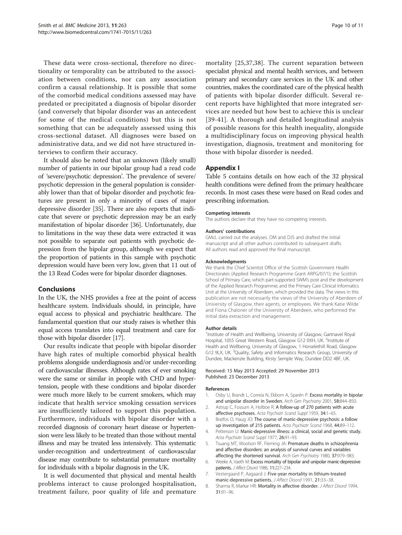<span id="page-9-0"></span>These data were cross-sectional, therefore no directionality or temporality can be attributed to the association between conditions, nor can any association confirm a causal relationship. It is possible that some of the comorbid medical conditions assessed may have predated or precipitated a diagnosis of bipolar disorder (and conversely that bipolar disorder was an antecedent for some of the medical conditions) but this is not something that can be adequately assessed using this cross-sectional dataset. All diagnoses were based on administrative data, and we did not have structured interviews to confirm their accuracy.

It should also be noted that an unknown (likely small) number of patients in our bipolar group had a read code of 'severe/psychotic depression'. The prevalence of severe/ psychotic depression in the general population is considerably lower than that of bipolar disorder and psychotic features are present in only a minority of cases of major depressive disorder [[35](#page-10-0)]. There are also reports that indicate that severe or psychotic depression may be an early manifestation of bipolar disorder [\[36](#page-10-0)]. Unfortunately, due to limitations in the way these data were extracted it was not possible to separate out patients with psychotic depression from the bipolar group, although we expect that the proportion of patients in this sample with psychotic depression would have been very low, given that 11 out of the 13 Read Codes were for bipolar disorder diagnoses.

# Conclusions

In the UK, the NHS provides a free at the point of access healthcare system. Individuals should, in principle, have equal access to physical and psychiatric healthcare. The fundamental question that our study raises is whether this equal access translates into equal treatment and care for those with bipolar disorder [\[17\]](#page-10-0).

Our results indicate that people with bipolar disorder have high rates of multiple comorbid physical health problems alongside underdiagnosis and/or under-recording of cardiovascular illnesses. Although rates of ever smoking were the same or similar in people with CHD and hypertension, people with these conditions and bipolar disorder were much more likely to be current smokers, which may indicate that health service smoking cessation services are insufficiently tailored to support this population. Furthermore, individuals with bipolar disorder with a recorded diagnosis of coronary heart disease or hypertension were less likely to be treated than those without mental illness and may be treated less intensively. This systematic under-recognition and undertreatment of cardiovascular disease may contribute to substantial premature mortality for individuals with a bipolar diagnosis in the UK.

It is well documented that physical and mental health problems interact to cause prolonged hospitalisation, treatment failure, poor quality of life and premature mortality [[25,37](#page-10-0),[38\]](#page-10-0). The current separation between specialist physical and mental health services, and between primary and secondary care services in the UK and other countries, makes the coordinated care of the physical health of patients with bipolar disorder difficult. Several recent reports have highlighted that more integrated services are needed but how best to achieve this is unclear [[39](#page-10-0)-[41](#page-10-0)]. A thorough and detailed longitudinal analysis of possible reasons for this health inequality, alongside a multidisciplinary focus on improving physical health investigation, diagnosis, treatment and monitoring for those with bipolar disorder is needed.

### Appendix I

Table [5](#page-8-0) contains details on how each of the 32 physical health conditions were defined from the primary healthcare records. In most cases these were based on Read codes and prescribing information.

### Competing interests

The authors declare that they have no competing interests.

### Authors' contributions

GMcL carried out the analyses. DM and DJS and drafted the initial manuscript and all other authors contributed to subsequent drafts. All authors read and approved the final manuscript.

### Acknowledgments

We thank the Chief Scientist Office of the Scottish Government Health Directorates (Applied Research Programme Grant ARPG/07/1); the Scottish School of Primary Care, which part-supported SWM's post and the development of the Applied Research Programme; and the Primary Care Clinical Informatics Unit at the University of Aberdeen, which provided the data. The views in this publication are not necessarily the views of the University of Aberdeen of University of Glasgow, their agents, or employees. We thank Katie Wilde and Fiona Chaloner of the University of Aberdeen, who performed the initial data extraction and management.

### Author details

<sup>1</sup>Institute of Health and Wellbeing, University of Glasgow, Gartnavel Royal Hospital, 1055 Great Western Road, Glasgow G12 0XH, UK. <sup>2</sup>Institute of Health and Wellbeing, University of Glasgow, 1 Horselethill Road, Glasgow G12 9LX, UK. <sup>3</sup>Quality, Safety and Informatics Research Group, University of Dundee, Mackenzie Building, Kirsty Semple Way, Dundee DD2 4BF, UK.

### Received: 15 May 2013 Accepted: 29 November 2013 Published: 23 December 2013

#### References

- 1. Osby U, Brandt L, Correia N, Ekbom A, Sparén P: Excess mortality in bipolar and unipolar disorder in Sweden. Arch Gen Psychiatry 2001, 58:844–850.
- 2. Astrup C, Fossum A, Holboe R: A follow-up of 270 patients with acute affective psychoses. Acta Psychiatr Scand Suppl 1959, 34:1-65
- 3. Bratfos O, Haug JO: The course of manic-depressive psychosis: a follow up investigation of 215 patients. Acta Psychiatr Scand 1968, 44:89–112.
- 4. Petterson U: Manic-depressive illness: a clinical, social and genetic study. Acta Psychiatr Scand Suppl 1977, 26:91–93.
- 5. Tsuang MT, Woolson RF, Fleming JA: Premature deaths in schizophrenia and affective disorders: an analysis of survival curves and variables affecting the shortened survival. Arch Gen Psychiatry 1980, 37:979-983.
- 6. Weeke A, Vaeth M: Excess mortality of bipolar and unipolar manic-depressive patients. J Affect Disord 1986, 11:227-234.
- 7. Vestergaard P, Aagaard J: Five-year mortality in lithium-treated manic-depressive patients. J Affect Disord 1991, 21:33–38.
- 8. Sharma R, Markar HR: Mortality in affective disorder. J Affect Disord 1994, 31:91–96.